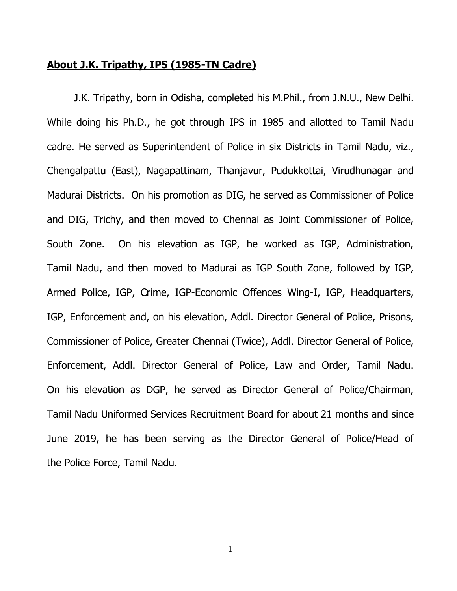## **About J.K. Tripathy, IPS (1985-TN Cadre)**

J.K. Tripathy, born in Odisha, completed his M.Phil., from J.N.U., New Delhi. While doing his Ph.D., he got through IPS in 1985 and allotted to Tamil Nadu cadre. He served as Superintendent of Police in six Districts in Tamil Nadu, viz., Chengalpattu (East), Nagapattinam, Thanjavur, Pudukkottai, Virudhunagar and Madurai Districts. On his promotion as DIG, he served as Commissioner of Police and DIG, Trichy, and then moved to Chennai as Joint Commissioner of Police, South Zone. On his elevation as IGP, he worked as IGP, Administration, Tamil Nadu, and then moved to Madurai as IGP South Zone, followed by IGP, Armed Police, IGP, Crime, IGP-Economic Offences Wing-I, IGP, Headquarters, IGP, Enforcement and, on his elevation, Addl. Director General of Police, Prisons, Commissioner of Police, Greater Chennai (Twice), Addl. Director General of Police, Enforcement, Addl. Director General of Police, Law and Order, Tamil Nadu. On his elevation as DGP, he served as Director General of Police/Chairman, Tamil Nadu Uniformed Services Recruitment Board for about 21 months and since June 2019, he has been serving as the Director General of Police/Head of the Police Force, Tamil Nadu.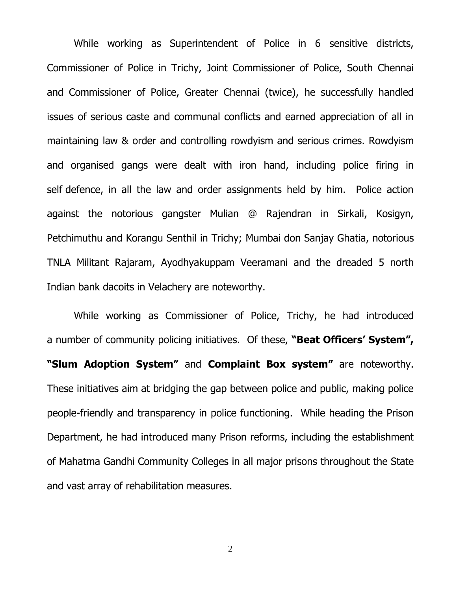While working as Superintendent of Police in 6 sensitive districts, Commissioner of Police in Trichy, Joint Commissioner of Police, South Chennai and Commissioner of Police, Greater Chennai (twice), he successfully handled issues of serious caste and communal conflicts and earned appreciation of all in maintaining law & order and controlling rowdyism and serious crimes. Rowdyism and organised gangs were dealt with iron hand, including police firing in self defence, in all the law and order assignments held by him. Police action against the notorious gangster Mulian @ Rajendran in Sirkali, Kosigyn, Petchimuthu and Korangu Senthil in Trichy; Mumbai don Sanjay Ghatia, notorious TNLA Militant Rajaram, Ayodhyakuppam Veeramani and the dreaded 5 north Indian bank dacoits in Velachery are noteworthy.

While working as Commissioner of Police, Trichy, he had introduced a number of community policing initiatives. Of these, **"Beat Officers' System", "Slum Adoption System"** and **Complaint Box system"** are noteworthy. These initiatives aim at bridging the gap between police and public, making police people-friendly and transparency in police functioning. While heading the Prison Department, he had introduced many Prison reforms, including the establishment of Mahatma Gandhi Community Colleges in all major prisons throughout the State and vast array of rehabilitation measures.

2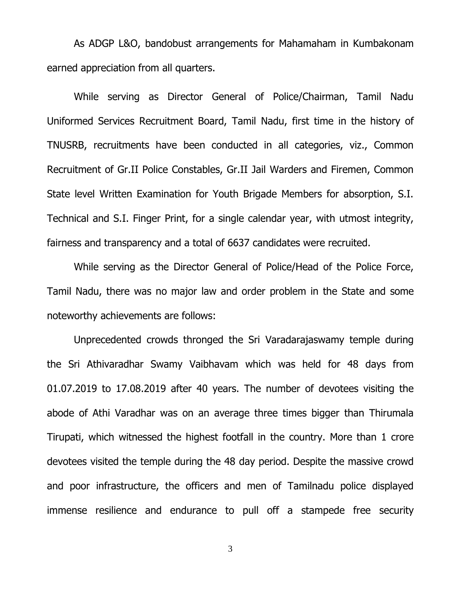As ADGP L&O, bandobust arrangements for Mahamaham in Kumbakonam earned appreciation from all quarters.

While serving as Director General of Police/Chairman, Tamil Nadu Uniformed Services Recruitment Board, Tamil Nadu, first time in the history of TNUSRB, recruitments have been conducted in all categories, viz., Common Recruitment of Gr.II Police Constables, Gr.II Jail Warders and Firemen, Common State level Written Examination for Youth Brigade Members for absorption, S.I. Technical and S.I. Finger Print, for a single calendar year, with utmost integrity, fairness and transparency and a total of 6637 candidates were recruited.

While serving as the Director General of Police/Head of the Police Force, Tamil Nadu, there was no major law and order problem in the State and some noteworthy achievements are follows:

Unprecedented crowds thronged the Sri Varadarajaswamy temple during the Sri Athivaradhar Swamy Vaibhavam which was held for 48 days from 01.07.2019 to 17.08.2019 after 40 years. The number of devotees visiting the abode of Athi Varadhar was on an average three times bigger than Thirumala Tirupati, which witnessed the highest footfall in the country. More than 1 crore devotees visited the temple during the 48 day period. Despite the massive crowd and poor infrastructure, the officers and men of Tamilnadu police displayed immense resilience and endurance to pull off a stampede free security

3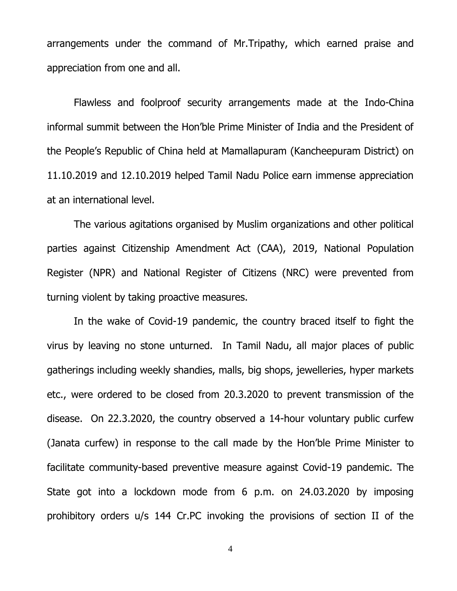arrangements under the command of Mr.Tripathy, which earned praise and appreciation from one and all.

Flawless and foolproof security arrangements made at the Indo-China informal summit between the Hon'ble Prime Minister of India and the President of the People's Republic of China held at Mamallapuram (Kancheepuram District) on 11.10.2019 and 12.10.2019 helped Tamil Nadu Police earn immense appreciation at an international level.

The various agitations organised by Muslim organizations and other political parties against Citizenship Amendment Act (CAA), 2019, National Population Register (NPR) and National Register of Citizens (NRC) were prevented from turning violent by taking proactive measures.

In the wake of Covid-19 pandemic, the country braced itself to fight the virus by leaving no stone unturned. In Tamil Nadu, all major places of public gatherings including weekly shandies, malls, big shops, jewelleries, hyper markets etc., were ordered to be closed from 20.3.2020 to prevent transmission of the disease. On 22.3.2020, the country observed a 14-hour voluntary public curfew (Janata curfew) in response to the call made by the Hon'ble Prime Minister to facilitate community-based preventive measure against Covid-19 pandemic. The State got into a lockdown mode from 6 p.m. on 24.03.2020 by imposing prohibitory orders u/s 144 Cr.PC invoking the provisions of section II of the

4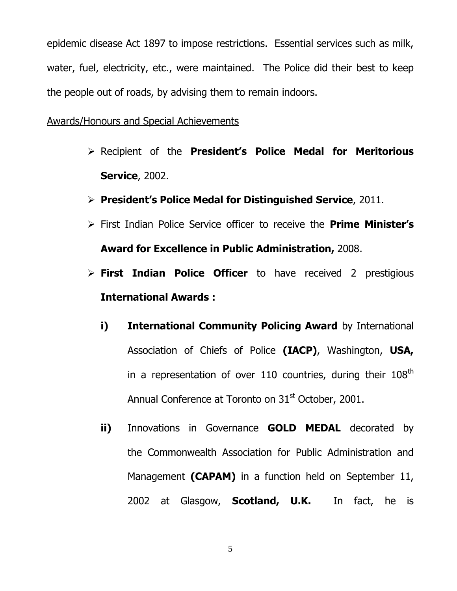epidemic disease Act 1897 to impose restrictions. Essential services such as milk, water, fuel, electricity, etc., were maintained. The Police did their best to keep the people out of roads, by advising them to remain indoors.

## Awards/Honours and Special Achievements

- Recipient of the **President's Police Medal for Meritorious Service**, 2002.
- **President's Police Medal for Distinguished Service**, 2011.
- First Indian Police Service officer to receive the **Prime Minister's Award for Excellence in Public Administration,** 2008.
- **First Indian Police Officer** to have received 2 prestigious **International Awards :**
	- **i) International Community Policing Award** by International Association of Chiefs of Police **(IACP)**, Washington, **USA,** in a representation of over 110 countries, during their  $108<sup>th</sup>$ Annual Conference at Toronto on  $31<sup>st</sup>$  October, 2001.
	- **ii)** Innovations in Governance **GOLD MEDAL** decorated by the Commonwealth Association for Public Administration and Management **(CAPAM)** in a function held on September 11, 2002 at Glasgow, **Scotland, U.K.** In fact, he is